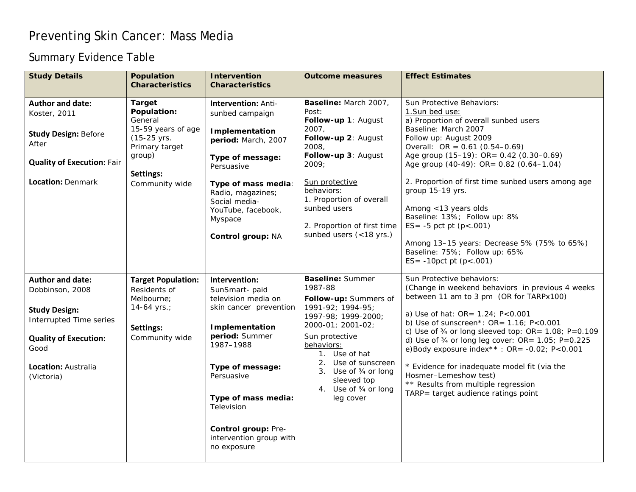## Preventing Skin Cancer: Mass Media

## Summary Evidence Table

| <b>Study Details</b>                                                                                                                                                       | <b>Population</b><br><b>Characteristics</b>                                                                                             | <b>Intervention</b><br><b>Characteristics</b>                                                                                                                                                                                                                            | <b>Outcome measures</b>                                                                                                                                                                                                                                                            | <b>Effect Estimates</b>                                                                                                                                                                                                                                                                                                                                                                                                                                                                                                                                         |
|----------------------------------------------------------------------------------------------------------------------------------------------------------------------------|-----------------------------------------------------------------------------------------------------------------------------------------|--------------------------------------------------------------------------------------------------------------------------------------------------------------------------------------------------------------------------------------------------------------------------|------------------------------------------------------------------------------------------------------------------------------------------------------------------------------------------------------------------------------------------------------------------------------------|-----------------------------------------------------------------------------------------------------------------------------------------------------------------------------------------------------------------------------------------------------------------------------------------------------------------------------------------------------------------------------------------------------------------------------------------------------------------------------------------------------------------------------------------------------------------|
| <b>Author and date:</b><br>Koster, 2011<br><b>Study Design: Before</b><br>After<br><b>Quality of Execution: Fair</b><br>Location: Denmark                                  | <b>Target</b><br>Population:<br>General<br>15-59 years of age<br>(15-25 yrs.<br>Primary target<br>group)<br>Settings:<br>Community wide | <b>Intervention: Anti-</b><br>sunbed campaign<br>Implementation<br>period: March, 2007<br>Type of message:<br>Persuasive<br>Type of mass media:<br>Radio, magazines;<br>Social media-<br>YouTube, facebook,<br>Myspace<br>Control group: NA                              | Baseline: March 2007,<br>Post:<br>Follow-up 1: August<br>2007,<br>Follow-up 2: August<br>2008,<br>Follow-up 3: August<br>2009;<br>Sun protective<br>behaviors:<br>1. Proportion of overall<br>sunbed users<br>2. Proportion of first time<br>sunbed users (<18 yrs.)               | Sun Protective Behaviors:<br>1. Sun bed use:<br>a) Proportion of overall sunbed users<br>Baseline: March 2007<br>Follow up: August 2009<br>Overall: OR = $0.61$ (0.54-0.69)<br>Age group (15-19): OR= 0.42 (0.30-0.69)<br>Age group (40-49): OR= 0.82 (0.64-1.04)<br>2. Proportion of first time sunbed users among age<br>group 15-19 yrs.<br>Among <13 years olds<br>Baseline: 13%; Follow up: 8%<br>ES= $-5$ pct pt (p < .001)<br>Among 13-15 years: Decrease 5% (75% to 65%)<br>Baseline: 75%; Follow up: 65%<br>$ES = -10$ pct pt ( $p < .001$ )           |
| <b>Author and date:</b><br>Dobbinson, 2008<br><b>Study Design:</b><br>Interrupted Time series<br><b>Quality of Execution:</b><br>Good<br>Location: Australia<br>(Victoria) | <b>Target Population:</b><br>Residents of<br>Melbourne;<br>14-64 $yrs$ .;<br>Settings:<br>Community wide                                | Intervention:<br>SunSmart-paid<br>television media on<br>skin cancer prevention<br>Implementation<br>period: Summer<br>1987-1988<br>Type of message:<br>Persuasive<br>Type of mass media:<br>Television<br>Control group: Pre-<br>intervention group with<br>no exposure | <b>Baseline: Summer</b><br>1987-88<br>Follow-up: Summers of<br>1991-92; 1994-95;<br>1997-98; 1999-2000;<br>2000-01; 2001-02;<br>Sun protective<br>behaviors:<br>1. Use of hat<br>2. Use of sunscreen<br>3. Use of 3/4 or long<br>sleeved top<br>4. Use of 3/4 or long<br>leg cover | Sun Protective behaviors:<br>(Change in weekend behaviors in previous 4 weeks<br>between 11 am to 3 pm (OR for TARPx100)<br>a) Use of hat: OR= 1.24; P<0.001<br>b) Use of sunscreen*: $OR = 1.16$ ; $P < 0.001$<br>c) Use of $\frac{3}{4}$ or long sleeved top: OR= 1.08; P=0.109<br>d) Use of $\frac{3}{4}$ or long leg cover: OR= 1.05; P=0.225<br>e)Body exposure index**: $OR = -0.02$ ; $P < 0.001$<br>* Evidence for inadequate model fit (via the<br>Hosmer-Lemeshow test)<br>** Results from multiple regression<br>TARP= target audience ratings point |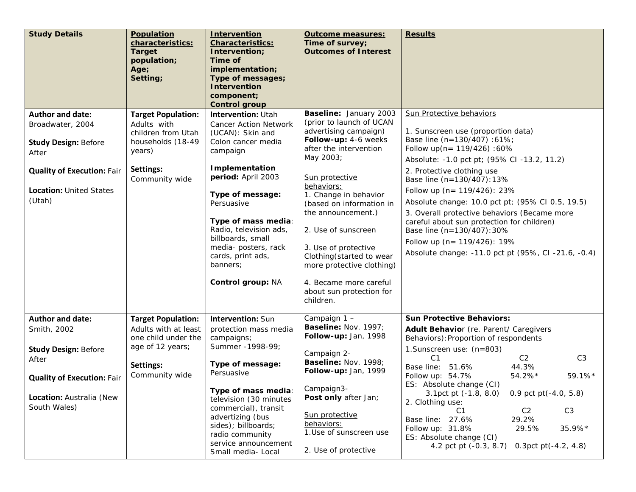| <b>Study Details</b>                                                          | Population<br>characteristics:<br><b>Target</b><br>population;<br>Age;<br>Setting; | <b>Intervention</b><br><b>Characteristics:</b><br>Intervention;<br>Time of<br>implementation;<br>Type of messages;<br><b>Intervention</b><br>component;<br><b>Control group</b>                                                   | <b>Outcome measures:</b><br>Time of survey;<br><b>Outcomes of Interest</b>                                                                                                                                                                                                          | <b>Results</b>                                                                                                                                                                                                                                                                                                                                                                                              |
|-------------------------------------------------------------------------------|------------------------------------------------------------------------------------|-----------------------------------------------------------------------------------------------------------------------------------------------------------------------------------------------------------------------------------|-------------------------------------------------------------------------------------------------------------------------------------------------------------------------------------------------------------------------------------------------------------------------------------|-------------------------------------------------------------------------------------------------------------------------------------------------------------------------------------------------------------------------------------------------------------------------------------------------------------------------------------------------------------------------------------------------------------|
| Author and date:                                                              | <b>Target Population:</b>                                                          | Intervention: Utah                                                                                                                                                                                                                | Baseline: January 2003<br>(prior to launch of UCAN                                                                                                                                                                                                                                  | Sun Protective behaviors                                                                                                                                                                                                                                                                                                                                                                                    |
| Broadwater, 2004                                                              | Adults with<br>children from Utah                                                  | <b>Cancer Action Network</b><br>(UCAN): Skin and                                                                                                                                                                                  | advertising campaign)                                                                                                                                                                                                                                                               | 1. Sunscreen use (proportion data)                                                                                                                                                                                                                                                                                                                                                                          |
| <b>Study Design: Before</b><br>After                                          | households (18-49<br>years)                                                        | Colon cancer media<br>campaign                                                                                                                                                                                                    | Follow-up: 4-6 weeks<br>after the intervention<br>May 2003;                                                                                                                                                                                                                         | Base line (n=130/407) : 61%;<br>Follow up( $n = 119/426$ ): 60%                                                                                                                                                                                                                                                                                                                                             |
| <b>Quality of Execution: Fair</b><br><b>Location: United States</b><br>(Utah) | Settings:<br>Community wide                                                        | <b>Implementation</b><br>period: April 2003<br>Type of message:<br>Persuasive<br>Type of mass media:<br>Radio, television ads,<br>billboards, small<br>media- posters, rack<br>cards, print ads,<br>banners;<br>Control group: NA | Sun protective<br>behaviors:<br>1. Change in behavior<br>(based on information in<br>the announcement.)<br>2. Use of sunscreen<br>3. Use of protective<br>Clothing (started to wear<br>more protective clothing)<br>4. Became more careful<br>about sun protection for<br>children. | Absolute: -1.0 pct pt; (95% CI -13.2, 11.2)<br>2. Protective clothing use<br>Base line (n=130/407):13%<br>Follow up (n= 119/426): 23%<br>Absolute change: 10.0 pct pt; (95% CI 0.5, 19.5)<br>3. Overall protective behaviors (Became more<br>careful about sun protection for children)<br>Base line (n=130/407): 30%<br>Follow up (n= 119/426): 19%<br>Absolute change: -11.0 pct pt (95%, CI -21.6, -0.4) |
| <b>Author and date:</b>                                                       | <b>Target Population:</b>                                                          | Intervention: Sun                                                                                                                                                                                                                 | Campaign 1 -                                                                                                                                                                                                                                                                        | <b>Sun Protective Behaviors:</b>                                                                                                                                                                                                                                                                                                                                                                            |
| Smith, 2002                                                                   | Adults with at least<br>one child under the                                        | protection mass media<br>campaigns;                                                                                                                                                                                               | Baseline: Nov. 1997;<br>Follow-up: Jan, 1998                                                                                                                                                                                                                                        | Adult Behavior (re. Parent/ Caregivers<br>Behaviors): Proportion of respondents                                                                                                                                                                                                                                                                                                                             |
| <b>Study Design: Before</b><br>After<br><b>Quality of Execution: Fair</b>     | age of 12 years;<br>Settings:<br>Community wide                                    | Summer - 1998-99;<br>Type of message:<br>Persuasive                                                                                                                                                                               | Campaign 2-<br>Baseline: Nov. 1998;<br>Follow-up: Jan, 1999<br>Campaign3-                                                                                                                                                                                                           | 1.Sunscreen use: (n=803)<br>C <sub>1</sub><br>C <sub>2</sub><br>C3<br>44.3%<br>Base line: 51.6%<br>Follow up: 54.7%<br>$54.2\%*$<br>59.1%*<br>ES: Absolute change (CI)                                                                                                                                                                                                                                      |
| Location: Australia (New                                                      |                                                                                    | Type of mass media:<br>television (30 minutes                                                                                                                                                                                     | Post only after Jan;                                                                                                                                                                                                                                                                | 3.1pct pt (-1.8, 8.0) 0.9 pct pt (-4.0, 5.8)<br>2. Clothing use:                                                                                                                                                                                                                                                                                                                                            |
| South Wales)                                                                  |                                                                                    | commercial), transit<br>advertizing (bus<br>sides); billboards;<br>radio community<br>service announcement<br>Small media- Local                                                                                                  | Sun protective<br>behaviors:<br>1.Use of sunscreen use                                                                                                                                                                                                                              | C <sub>1</sub><br>C3<br>C <sub>2</sub><br>Base line: 27.6%<br>29.2%<br>35.9%*<br>Follow up: 31.8%<br>29.5%<br>ES: Absolute change (CI)                                                                                                                                                                                                                                                                      |
|                                                                               |                                                                                    |                                                                                                                                                                                                                                   | 2. Use of protective                                                                                                                                                                                                                                                                | 4.2 pct pt (-0.3, 8.7) 0.3pct pt (-4.2, 4.8)                                                                                                                                                                                                                                                                                                                                                                |